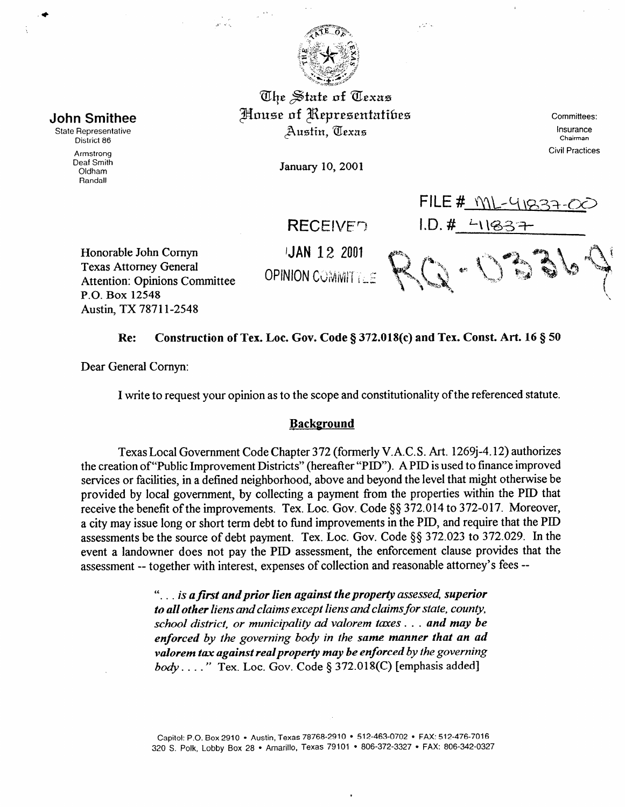

والمحار

The State of Texas House of Representatibes Austin, Texas

January 10, 2001

Committees: Insurance Chairman Civil Practices

Honorable John Cornyn Texas Attorney General Attention: Opinions Committee P.O. Box 12548

JAN 12 2001

**RECEIVED** 

**OPINION COMMITTLE** 

 $1.0, # -1193$ 

FILE #  $M_{\text{L}}$  419

## Re: Construction of Tex. Loc. Gov. Code § 372.018(c) and Tex. Const. Art. 16 § 50

Dear General Comyn:

Austin, TX 7871 l-2548

I write to request your opinion as to the scope and constitutionality of the referenced statute.

## **Background**

Texas Local Government Code Chapter 372 (formerly V.A.C. S. Art. 1269j-4.12) authorizes the creation of "Public Improvement Districts" (hereafter "PID"). A PID is used to finance improved services or facilities, in a defined neighborhood, above and beyond the level that might otherwise be provided by local government, by collecting a payment from the properties within the PID that receive the benefit of the improvements. Tex. Loc. Gov. Code §§ 372.014 to 372-017. Moreover, a city may issue long or short term debt to fund improvements in the PID, and require that the PID assessments be the source of debt payment. Tex. Loc. Gov. Code §§ 372.023 to 372.029. In the event a landowner does not pay the PID assessment, the enforcement clause provides that the assessment -- together with interest, expenses of collection and reasonable attorney's fees --

> ". . . *is a first and prior lien against the property assessed, superior to all other liens andclaims except liens and cIaimsfor state, county, school district, or municipality ad valorem taxes . . . and may be*  enforced by the governing body in the same manner that an ad *valorem tax against realproperty may be enforced by the governing body* . . . . " Tex. Loc. Gov. Code § 372.018(C) [emphasis added]



State Representative District 86

Armstrong Deaf Smith Oldham Randall